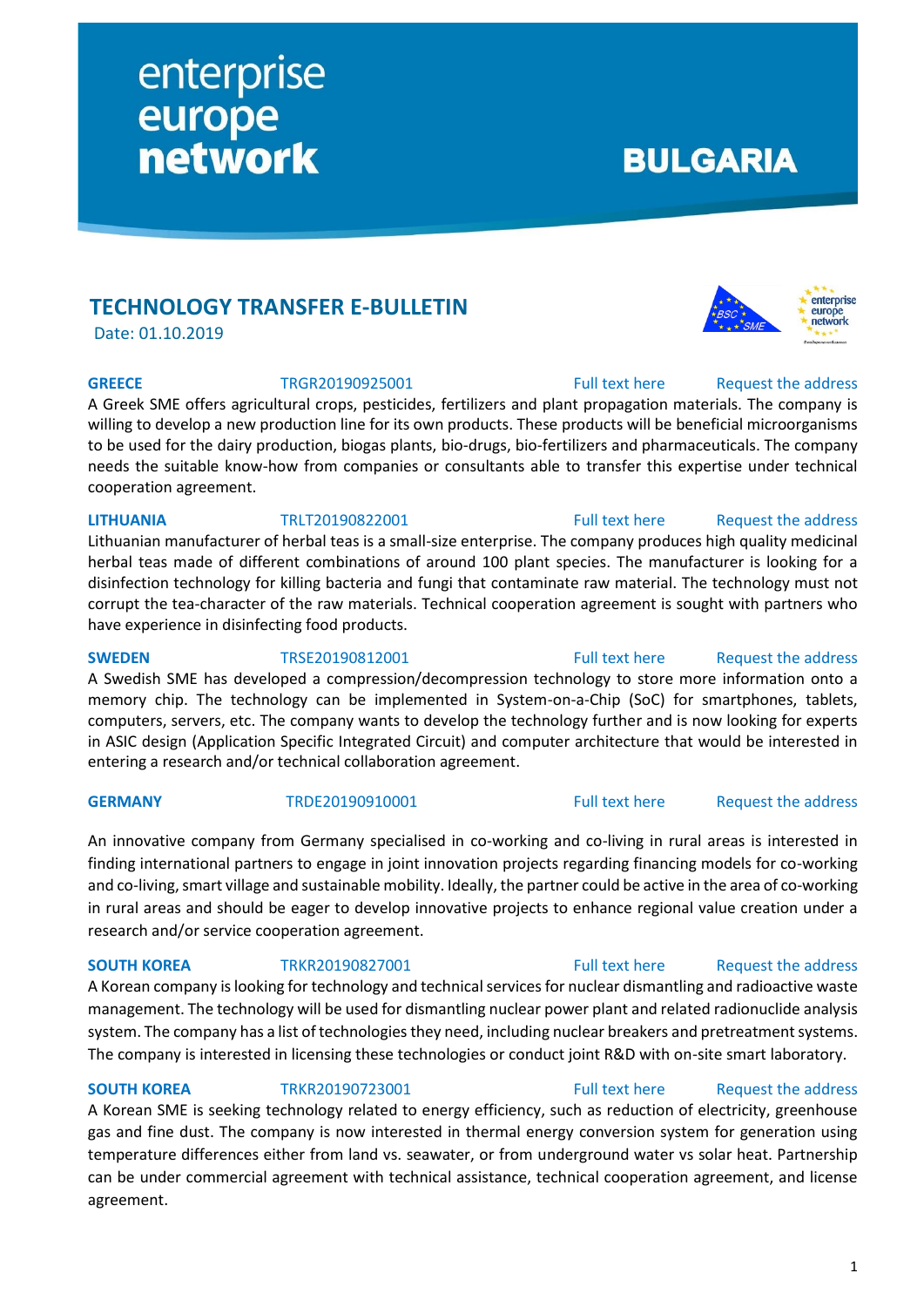# **TECHNOLOGY TRANSFER E-BULLETIN**

enterprise

network

europe

Date: 01.10.2019

A Greek SME offers agricultural crops, pesticides, fertilizers and plant propagation materials. The company is willing to develop a new production line for its own products. These products will be beneficial microorganisms to be used for the dairy production, biogas plants, bio-drugs, bio-fertilizers and pharmaceuticals. The company needs the suitable know-how from companies or consultants able to transfer this expertise under technical cooperation agreement.

### **LITHUANIA** TRLT20190822001 [Full text here](https://een.ec.europa.eu/tools/services/PRO/Profile/Detail/1da13d06-e3de-4d3a-9e1a-26d18432adb7) Request the address

Lithuanian manufacturer of herbal teas is a small-size enterprise. The company produces high quality medicinal herbal teas made of different combinations of around 100 plant species. The manufacturer is looking for a disinfection technology for killing bacteria and fungi that contaminate raw material. The technology must not corrupt the tea-character of the raw materials. Technical cooperation agreement is sought with partners who have experience in disinfecting food products.

**SWEDEN** TRSE20190812001 [Full text here](https://een.ec.europa.eu/tools/services/PRO/Profile/Detail/ec14873e-211e-4257-8f3c-1f21d299fe4a) Request [the address](http://www.een.bg/index.php?option=com_rsform&formId=13) A Swedish SME has developed a compression/decompression technology to store more information onto a memory chip. The technology can be implemented in System-on-a-Chip (SoC) for smartphones, tablets, computers, servers, etc. The company wants to develop the technology further and is now looking for experts in ASIC design (Application Specific Integrated Circuit) and computer architecture that would be interested in entering a research and/or technical collaboration agreement.

# An innovative company from Germany specialised in co-working and co-living in rural areas is interested in finding international partners to engage in joint innovation projects regarding financing models for co-working and co-living, smart village and sustainable mobility. Ideally, the partner could be active in the area of co-working in rural areas and should be eager to develop innovative projects to enhance regional value creation under a research and/or service cooperation agreement.

# **SOUTH KOREA** TRKR20190827001 [Full text here](https://een.ec.europa.eu/tools/services/PRO/Profile/Detail/a72eaca2-4c24-423c-9101-f51eb2860d01) Request the address A Korean company is looking for technology and technical services for nuclear dismantling and radioactive waste management. The technology will be used for dismantling nuclear power plant and related radionuclide analysis system. The company has a list of technologies they need, including nuclear breakers and pretreatment systems. The company is interested in licensing these technologies or conduct joint R&D with on-site smart laboratory.

# **SOUTH KOREA** TRKR20190723001 [Full text here](https://een.ec.europa.eu/tools/services/PRO/Profile/Detail/53044a2d-87ec-4b2d-8eda-af289db078f1) Request the address A Korean SME is seeking technology related to energy efficiency, such as reduction of electricity, greenhouse gas and fine dust. The company is now interested in thermal energy conversion system for generation using temperature differences either from land vs. seawater, or from underground water vs solar heat. Partnership can be under commercial agreement with technical assistance, technical cooperation agreement, and license agreement.

**GREECE** TRGR20190925001 [Full text here](https://een.ec.europa.eu/tools/services/PRO/Profile/Detail/8b756f61-7ebb-4f7c-a9ae-3f0996899c60) Request the address

**BULGARIA** 

# **GERMANY** TRDE20190910001 [Full text here](https://een.ec.europa.eu/tools/services/PRO/Profile/Detail/892cc40a-b47c-4e21-8417-3c0c2511b9d8) Request [the address](http://www.een.bg/index.php?option=com_rsform&formId=13)

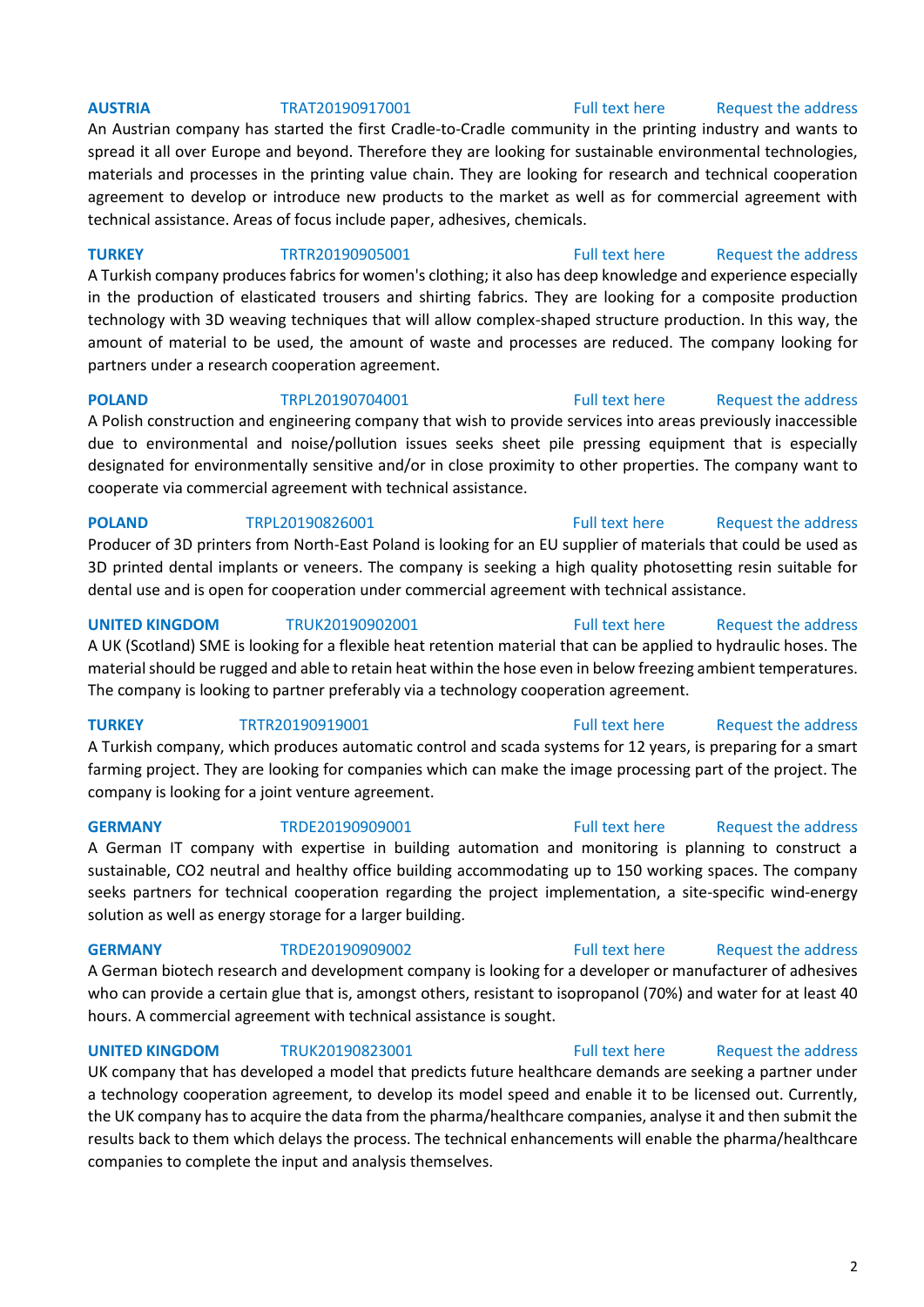## **AUSTRIA** TRAT20190917001 [Full text here](https://een.ec.europa.eu/tools/services/PRO/Profile/Detail/172867f6-c1ed-413c-8f65-2c566062bdbc) Request [the address](http://www.een.bg/index.php?option=com_rsform&formId=13)

An Austrian company has started the first Cradle-to-Cradle community in the printing industry and wants to spread it all over Europe and beyond. Therefore they are looking for sustainable environmental technologies, materials and processes in the printing value chain. They are looking for research and technical cooperation agreement to develop or introduce new products to the market as well as for commercial agreement with technical assistance. Areas of focus include paper, adhesives, chemicals.

**TURKEY** TRTR20190905001 [Full text here](https://een.ec.europa.eu/tools/services/PRO/Profile/Detail/15eef184-958c-4347-9509-05f4b32945d2) Request [the address](http://www.een.bg/index.php?option=com_rsform&formId=13)

A Turkish company produces fabrics for women's clothing; it also has deep knowledge and experience especially in the production of elasticated trousers and shirting fabrics. They are looking for a composite production technology with 3D weaving techniques that will allow complex-shaped structure production. In this way, the amount of material to be used, the amount of waste and processes are reduced. The company looking for partners under a research cooperation agreement.

**POLAND** TRPL20190704001 [Full text here](https://een.ec.europa.eu/tools/services/PRO/Profile/Detail/0af1c6b9-34b5-4e06-a4c7-5c7a42974daa) Request the address A Polish construction and engineering company that wish to provide services into areas previously inaccessible due to environmental and noise/pollution issues seeks sheet pile pressing equipment that is especially designated for environmentally sensitive and/or in close proximity to other properties. The company want to cooperate via commercial agreement with technical assistance.

## **POLAND** TRPL20190826001 **Full text here** Request the address

Producer of 3D printers from North-East Poland is looking for an EU supplier of materials that could be used as 3D printed dental implants or veneers. The company is seeking a high quality photosetting resin suitable for dental use and is open for cooperation under commercial agreement with technical assistance.

### **UNITED KINGDOM** TRUK20190902001 [Full text here](https://een.ec.europa.eu/tools/services/PRO/Profile/Detail/cce7f51b-6914-4c90-9633-33d7d54d7185) Request [the address](http://www.een.bg/index.php?option=com_rsform&formId=13)

A UK (Scotland) SME is looking for a flexible heat retention material that can be applied to hydraulic hoses. The material should be rugged and able to retain heat within the hose even in below freezing ambient temperatures. The company is looking to partner preferably via a technology cooperation agreement.

## **TURKEY** TRTR20190919001 **TRTR2019001** [Full text here](https://een.ec.europa.eu/tools/services/PRO/Profile/Detail/8eedf6d4-5592-4729-9e26-d3c9a5887fea) Request the address

A Turkish company, which produces automatic control and scada systems for 12 years, is preparing for a smart farming project. They are looking for companies which can make the image processing part of the project. The company is looking for a joint venture agreement.

## **GERMANY** TRDE20190909001 [Full text here](https://een.ec.europa.eu/tools/services/PRO/Profile/Detail/d99adf9b-4190-4252-993c-fb132b806017) Request the address

A German IT company with expertise in building automation and monitoring is planning to construct a sustainable, CO2 neutral and healthy office building accommodating up to 150 working spaces. The company seeks partners for technical cooperation regarding the project implementation, a site-specific wind-energy solution as well as energy storage for a larger building.

A German biotech research and development company is looking for a developer or manufacturer of adhesives who can provide a certain glue that is, amongst others, resistant to isopropanol (70%) and water for at least 40 hours. A commercial agreement with technical assistance is sought.

**UNITED KINGDOM** TRUK20190823001 [Full text here](https://een.ec.europa.eu/tools/services/PRO/Profile/Detail/3264e75f-c31b-4955-99cb-ebb8a3288487) Request the address

UK company that has developed a model that predicts future healthcare demands are seeking a partner under a technology cooperation agreement, to develop its model speed and enable it to be licensed out. Currently, the UK company has to acquire the data from the pharma/healthcare companies, analyse it and then submit the results back to them which delays the process. The technical enhancements will enable the pharma/healthcare companies to complete the input and analysis themselves.

# **GERMANY** TRDE2019090002 [Full text here](https://een.ec.europa.eu/tools/services/PRO/Profile/Detail/c11af245-52d6-49a5-9104-5f1923975322) Request the address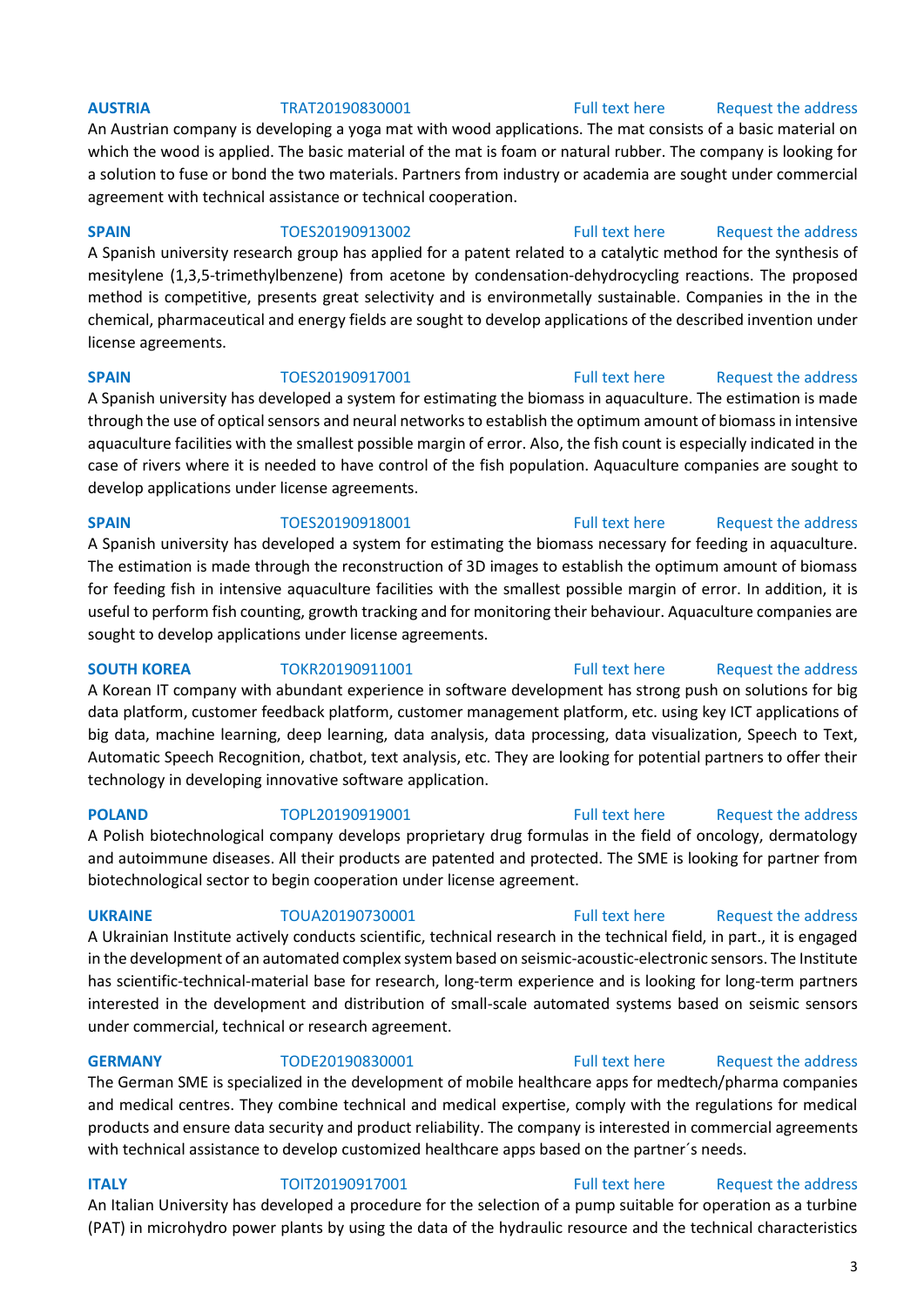An Austrian company is developing a yoga mat with wood applications. The mat consists of a basic material on which the wood is applied. The basic material of the mat is foam or natural rubber. The company is looking for a solution to fuse or bond the two materials. Partners from industry or academia are sought under commercial agreement with technical assistance or technical cooperation.

### **SPAIN** TOES20190913002 [Full text here](https://een.ec.europa.eu/tools/services/PRO/Profile/Detail/40c1d704-5d33-4e82-b46c-ffac97c9fcea) Request the address

A Spanish university research group has applied for a patent related to a catalytic method for the synthesis of mesitylene (1,3,5-trimethylbenzene) from acetone by condensation-dehydrocycling reactions. The proposed method is competitive, presents great selectivity and is environmetally sustainable. Companies in the in the chemical, pharmaceutical and energy fields are sought to develop applications of the described invention under license agreements.

A Spanish university has developed a system for estimating the biomass in aquaculture. The estimation is made through the use of optical sensors and neural networks to establish the optimum amount of biomass in intensive aquaculture facilities with the smallest possible margin of error. Also, the fish count is especially indicated in the case of rivers where it is needed to have control of the fish population. Aquaculture companies are sought to develop applications under license agreements.

# **SPAIN** TOES20190918001 [Full text here](https://een.ec.europa.eu/tools/services/PRO/Profile/Detail/ffb3ff7a-c5ed-4e9f-a4e1-bb78d4f2cba3) Request the address A Spanish university has developed a system for estimating the biomass necessary for feeding in aquaculture. The estimation is made through the reconstruction of 3D images to establish the optimum amount of biomass for feeding fish in intensive aquaculture facilities with the smallest possible margin of error. In addition, it is useful to perform fish counting, growth tracking and for monitoring their behaviour. Aquaculture companies are sought to develop applications under license agreements.

**SOUTH KOREA** TOKR20190911001 [Full text here](https://een.ec.europa.eu/tools/services/PRO/Profile/Detail/35466792-bace-4399-a4bc-11a5d244d18d) Request the address A Korean IT company with abundant experience in software development has strong push on solutions for big data platform, customer feedback platform, customer management platform, etc. using key ICT applications of big data, machine learning, deep learning, data analysis, data processing, data visualization, Speech to Text, Automatic Speech Recognition, chatbot, text analysis, etc. They are looking for potential partners to offer their technology in developing innovative software application.

**POLAND** TOPL20190919001 [Full text here](https://een.ec.europa.eu/tools/services/PRO/Profile/Detail/faa141c3-f083-4beb-a540-b71798fdab83) Request the address A Polish biotechnological company develops proprietary drug formulas in the field of oncology, dermatology and autoimmune diseases. All their products are patented and protected. The SME is looking for partner from biotechnological sector to begin cooperation under license agreement.

### **UKRAINE** TOUA20190730001 [Full text here](https://een.ec.europa.eu/tools/services/PRO/Profile/Detail/e7658fd8-3328-47e1-826e-3ad4de53618f) Request the address

A Ukrainian Institute actively conducts scientific, technical research in the technical field, in part., it is engaged in the development of an automated complex system based on seismic-acoustic-electronic sensors. The Institute has scientific-technical-material base for research, long-term experience and is looking for long-term partners interested in the development and distribution of small-scale automated systems based on seismic sensors under commercial, technical or research agreement.

## **GERMANY** TODE20190830001 [Full text here](https://een.ec.europa.eu/tools/services/PRO/Profile/Detail/40a92fda-4688-47f1-af48-d0a3437b8068) Request the address

The German SME is specialized in the development of mobile healthcare apps for medtech/pharma companies and medical centres. They combine technical and medical expertise, comply with the regulations for medical products and ensure data security and product reliability. The company is interested in commercial agreements with technical assistance to develop customized healthcare apps based on the partner's needs.

## **ITALY TOIT20190917001** [Full text here](https://een.ec.europa.eu/tools/services/PRO/Profile/Detail/a38446ff-13f7-4563-b6ea-674e5e541b45) Request the address An Italian University has developed a procedure for the selection of a pump suitable for operation as a turbine (PAT) in microhydro power plants by using the data of the hydraulic resource and the technical characteristics

## **AUSTRIA** TRAT20190830001 [Full text here](https://een.ec.europa.eu/tools/services/PRO/Profile/Detail/2c0d3c0c-41a3-4b1b-a967-48f901a0e267) Request the address

# **SPAIN** TOES20190917001 [Full text here](https://een.ec.europa.eu/tools/services/PRO/Profile/Detail/a4606a93-a081-4eb1-aeea-0691615e966b) Request the address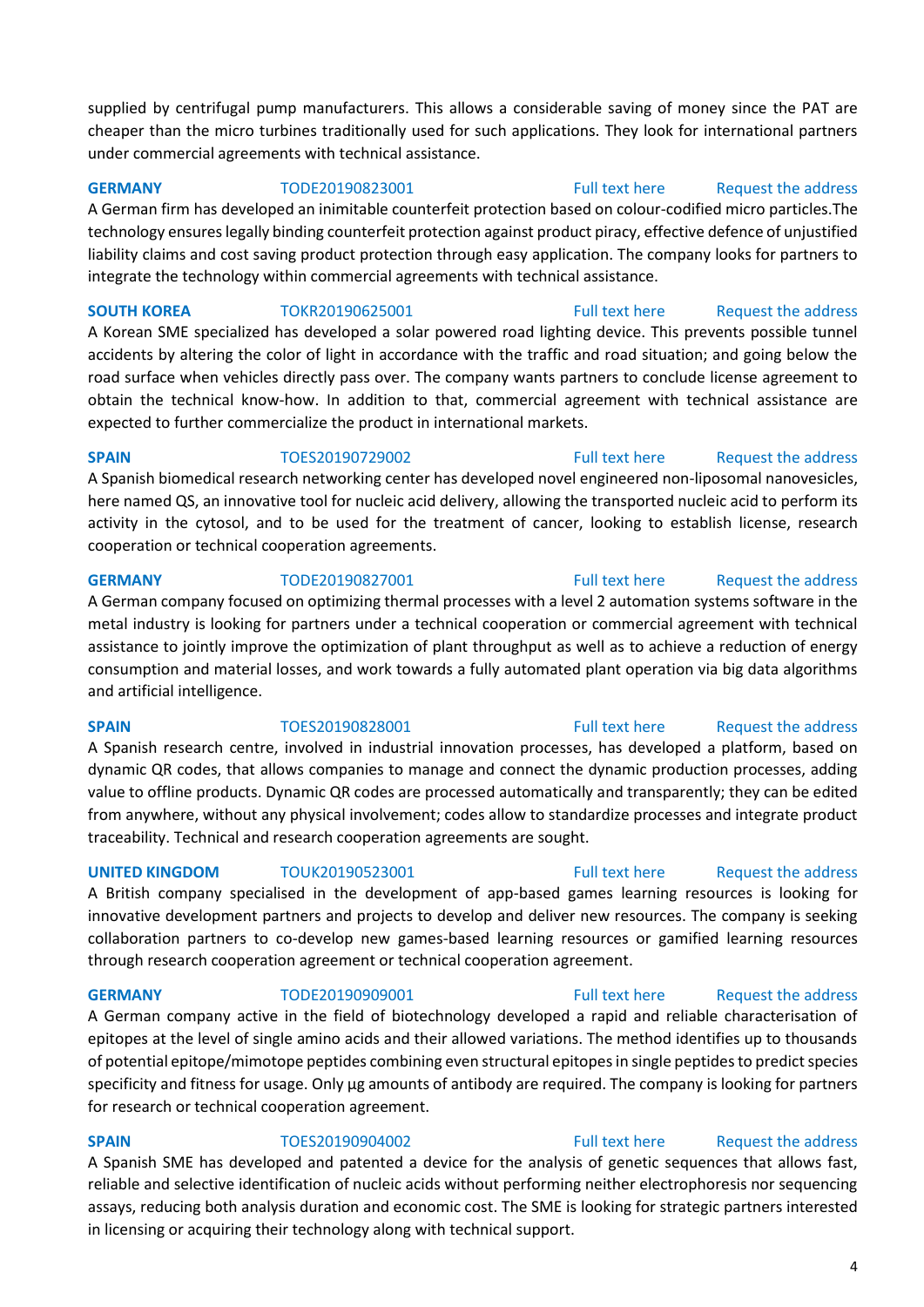supplied by centrifugal pump manufacturers. This allows a considerable saving of money since the PAT are cheaper than the micro turbines traditionally used for such applications. They look for international partners under commercial agreements with technical assistance.

**GERMANY** TODE20190823001 [Full text here](https://een.ec.europa.eu/tools/services/PRO/Profile/Detail/4d9c52e0-a128-4bec-a563-e20eb59fb603) Request the address

A German firm has developed an inimitable counterfeit protection based on colour-codified micro particles.The technology ensures legally binding counterfeit protection against product piracy, effective defence of unjustified liability claims and cost saving product protection through easy application. The company looks for partners to integrate the technology within commercial agreements with technical assistance.

**SOUTH KOREA** TOKR20190625001 [Full text here](https://een.ec.europa.eu/tools/services/PRO/Profile/Detail/798a8e11-2e4e-4ade-b3c1-2a7a40fa894d) Request the address A Korean SME specialized has developed a solar powered road lighting device. This prevents possible tunnel accidents by altering the color of light in accordance with the traffic and road situation; and going below the road surface when vehicles directly pass over. The company wants partners to conclude license agreement to obtain the technical know-how. In addition to that, commercial agreement with technical assistance are expected to further commercialize the product in international markets.

**SPAIN** TOES20190729002 [Full text here](https://een.ec.europa.eu/tools/services/PRO/Profile/Detail/ccc3f292-889e-41e1-97f0-18d1c6ec36db) Request the address A Spanish biomedical research networking center has developed novel engineered non-liposomal nanovesicles, here named QS, an innovative tool for nucleic acid delivery, allowing the transported nucleic acid to perform its activity in the cytosol, and to be used for the treatment of cancer, looking to establish license, research cooperation or technical cooperation agreements.

**GERMANY** TODE20190827001 [Full text here](https://een.ec.europa.eu/tools/services/PRO/Profile/Detail/878c4571-ed16-4764-a2bc-a5fa12cf3ecb) Request the address A German company focused on optimizing thermal processes with a level 2 automation systems software in the metal industry is looking for partners under a technical cooperation or commercial agreement with technical assistance to jointly improve the optimization of plant throughput as well as to achieve a reduction of energy consumption and material losses, and work towards a fully automated plant operation via big data algorithms and artificial intelligence.

A Spanish research centre, involved in industrial innovation processes, has developed a platform, based on dynamic QR codes, that allows companies to manage and connect the dynamic production processes, adding value to offline products. Dynamic QR codes are processed automatically and transparently; they can be edited from anywhere, without any physical involvement; codes allow to standardize processes and integrate product traceability. Technical and research cooperation agreements are sought.

A British company specialised in the development of app-based games learning resources is looking for innovative development partners and projects to develop and deliver new resources. The company is seeking collaboration partners to co-develop new games-based learning resources or gamified learning resources through research cooperation agreement or technical cooperation agreement.

**GERMANY** TODE20190909001 [Full text here](https://een.ec.europa.eu/tools/services/PRO/Profile/Detail/9d69f67b-4ec1-4159-ad31-f842f8e44190) Request the address

A German company active in the field of biotechnology developed a rapid and reliable characterisation of epitopes at the level of single amino acids and their allowed variations. The method identifies up to thousands of potential epitope/mimotope peptides combining even structural epitopes in single peptides to predict species specificity and fitness for usage. Only µg amounts of antibody are required. The company is looking for partners for research or technical cooperation agreement.

# **SPAIN** TOES20190904002 [Full text here](https://een.ec.europa.eu/tools/services/PRO/Profile/Detail/8d5d1f1c-219a-4cc8-90de-7949845c8aa2) Request the address A Spanish SME has developed and patented a device for the analysis of genetic sequences that allows fast,

reliable and selective identification of nucleic acids without performing neither electrophoresis nor sequencing assays, reducing both analysis duration and economic cost. The SME is looking for strategic partners interested in licensing or acquiring their technology along with technical support.

## **SPAIN** TOES20190828001 [Full text here](https://een.ec.europa.eu/tools/services/PRO/Profile/Detail/a856b6c9-fbba-4632-8f05-6115b809c77f) Request the address

# **UNITED KINGDOM** TOUK20190523001 [Full text here](https://een.ec.europa.eu/tools/services/PRO/Profile/Detail/daee9a11-a392-4fc2-9a1f-1e98637ab065) Request the address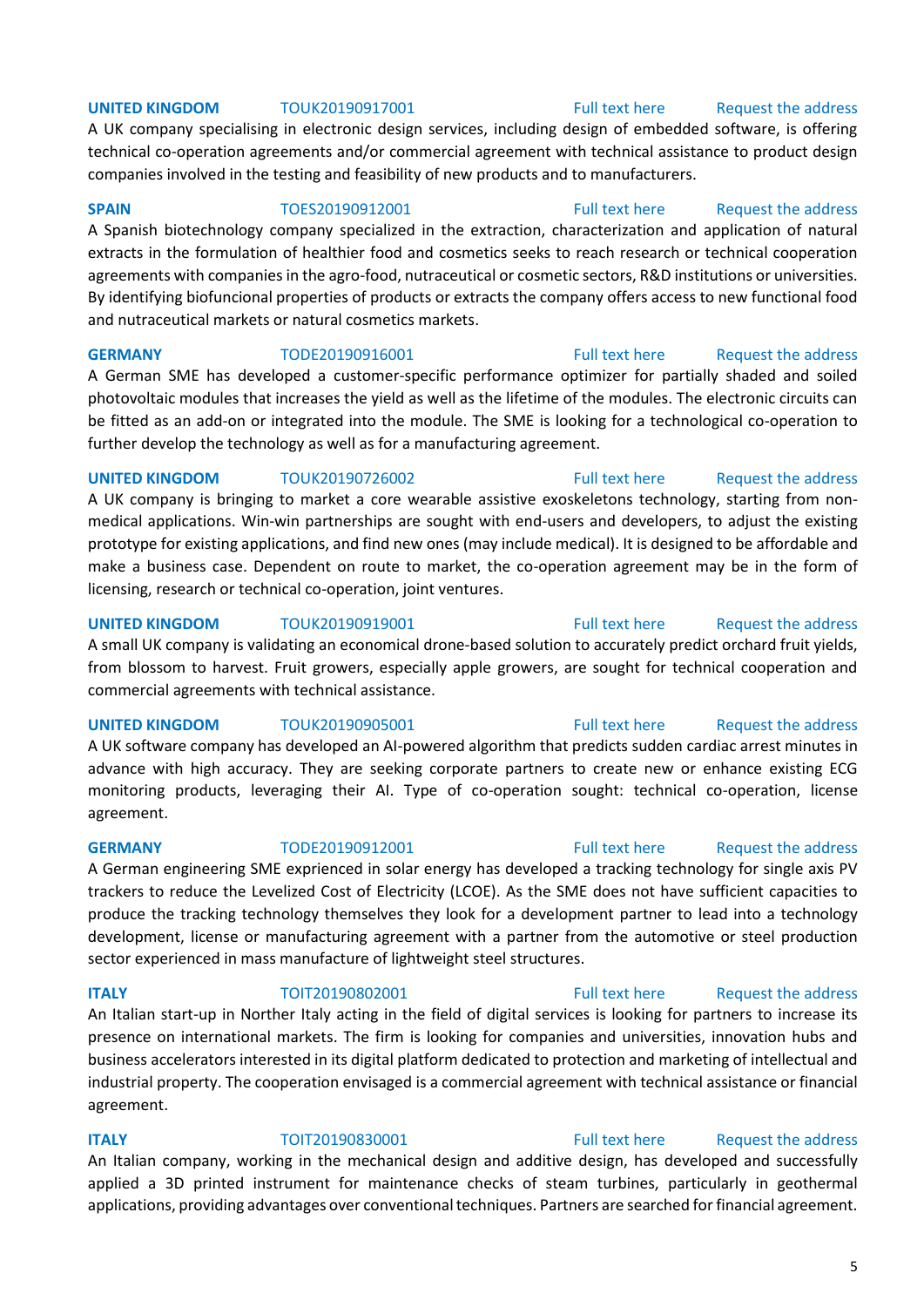### **UNITED KINGDOM** TOUK20190917001 [Full text here](https://een.ec.europa.eu/tools/services/PRO/Profile/Detail/277dd665-1c60-4d57-8c4d-6ff306eccae8) Request the address

A UK company specialising in electronic design services, including design of embedded software, is offering technical co-operation agreements and/or commercial agreement with technical assistance to product design companies involved in the testing and feasibility of new products and to manufacturers.

**SPAIN** TOES20190912001 [Full text here](https://een.ec.europa.eu/tools/services/PRO/Profile/Detail/2888f80c-76a4-40d9-aaff-9ebfaa23d6e1) Request the address

A Spanish biotechnology company specialized in the extraction, characterization and application of natural extracts in the formulation of healthier food and cosmetics seeks to reach research or technical cooperation agreements with companies in the agro-food, nutraceutical or cosmetic sectors, R&D institutions or universities. By identifying biofuncional properties of products or extracts the company offers access to new functional food and nutraceutical markets or natural cosmetics markets.

**GERMANY** TODE20190916001 [Full text here](https://een.ec.europa.eu/tools/services/PRO/Profile/Detail/36cf6901-5404-4a5a-be02-e57e590f2ec2) Request the address A German SME has developed a customer-specific performance optimizer for partially shaded and soiled photovoltaic modules that increases the yield as well as the lifetime of the modules. The electronic circuits can be fitted as an add-on or integrated into the module. The SME is looking for a technological co-operation to further develop the technology as well as for a manufacturing agreement.

### **UNITED KINGDOM** TOUK20190726002 **Full text here** Request the address

A UK company is bringing to market a core wearable assistive exoskeletons technology, starting from nonmedical applications. Win-win partnerships are sought with end-users and developers, to adjust the existing prototype for existing applications, and find new ones (may include medical). It is designed to be affordable and make a business case. Dependent on route to market, the co-operation agreement may be in the form of licensing, research or technical co-operation, joint ventures.

**UNITED KINGDOM** TOUK20190919001 [Full text here](https://een.ec.europa.eu/tools/services/PRO/Profile/Detail/0464cce2-67b5-4cb8-a670-69d4a338d2a4) Request the address

A small UK company is validating an economical drone-based solution to accurately predict orchard fruit yields, from blossom to harvest. Fruit growers, especially apple growers, are sought for technical cooperation and commercial agreements with technical assistance.

A UK software company has developed an AI-powered algorithm that predicts sudden cardiac arrest minutes in advance with high accuracy. They are seeking corporate partners to create new or enhance existing ECG monitoring products, leveraging their AI. Type of co-operation sought: technical co-operation, license agreement.

A German engineering SME exprienced in solar energy has developed a tracking technology for single axis PV trackers to reduce the Levelized Cost of Electricity (LCOE). As the SME does not have sufficient capacities to produce the tracking technology themselves they look for a development partner to lead into a technology development, license or manufacturing agreement with a partner from the automotive or steel production sector experienced in mass manufacture of lightweight steel structures.

**ITALY TOIT20190802001** [Full text here](https://een.ec.europa.eu/tools/services/PRO/Profile/Detail/b10d8b0f-72c1-46ba-a0ab-0fa926230882) Request the address

An Italian start-up in Norther Italy acting in the field of digital services is looking for partners to increase its presence on international markets. The firm is looking for companies and universities, innovation hubs and business accelerators interested in its digital platform dedicated to protection and marketing of intellectual and industrial property. The cooperation envisaged is a commercial agreement with technical assistance or financial agreement.

**ITALY TOIT20190830001** [Full text here](https://een.ec.europa.eu/tools/services/PRO/Profile/Detail/e45e7abc-58db-4c76-ac53-e0ed161cc201) Request the address An Italian company, working in the mechanical design and additive design, has developed and successfully applied a 3D printed instrument for maintenance checks of steam turbines, particularly in geothermal applications, providing advantages over conventional techniques. Partners are searched for financial agreement.

### 5

# **UNITED KINGDOM** TOUK20190905001 [Full text here](https://een.ec.europa.eu/tools/services/PRO/Profile/Detail/4a1a1954-e334-4842-a782-5da716b7c144) Request the address

# **GERMANY** TODE20190912001 [Full text here](https://een.ec.europa.eu/tools/services/PRO/Profile/Detail/5716bdbc-549a-481f-ae9b-6c6de4680326) Request the address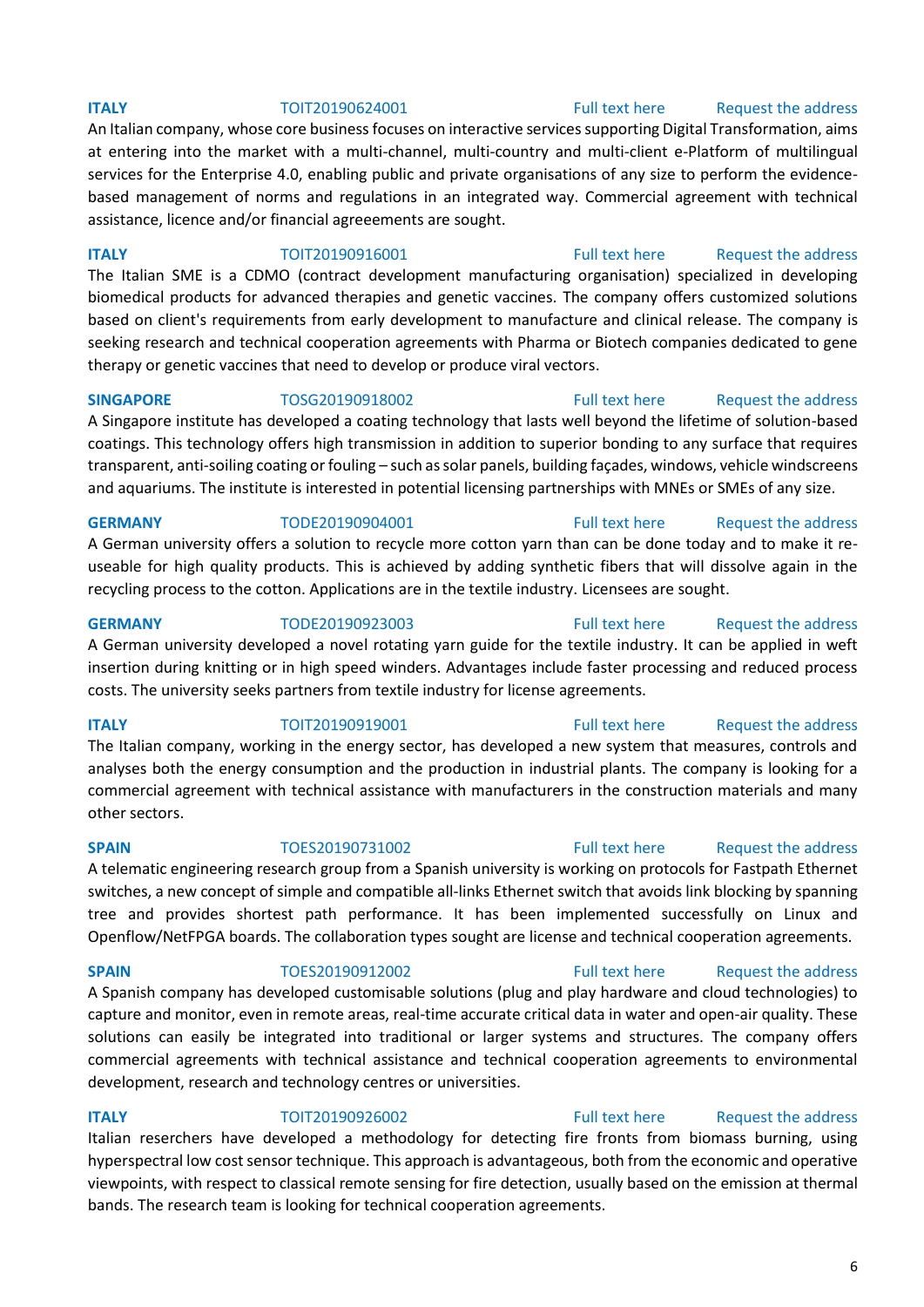An Italian company, whose core business focuses on interactive services supporting Digital Transformation, aims at entering into the market with a multi-channel, multi-country and multi-client e-Platform of multilingual services for the Enterprise 4.0, enabling public and private organisations of any size to perform the evidencebased management of norms and regulations in an integrated way. Commercial agreement with technical assistance, licence and/or financial agreeements are sought.

**ITALY TOIT20190916001** [Full text here](https://een.ec.europa.eu/tools/services/PRO/Profile/Detail/230a5211-0fee-4445-99ee-8f74b002c162) Request the address The Italian SME is a CDMO (contract development manufacturing organisation) specialized in developing

biomedical products for advanced therapies and genetic vaccines. The company offers customized solutions based on client's requirements from early development to manufacture and clinical release. The company is seeking research and technical cooperation agreements with Pharma or Biotech companies dedicated to gene therapy or genetic vaccines that need to develop or produce viral vectors.

**SINGAPORE** TOSG20190918002 [Full text here](https://een.ec.europa.eu/tools/services/PRO/Profile/Detail/80f8ba2c-6a8f-4e9e-b21c-4d492111e3e5) Request the address A Singapore institute has developed a coating technology that lasts well beyond the lifetime of solution-based coatings. This technology offers high transmission in addition to superior bonding to any surface that requires transparent, anti-soiling coating or fouling – such as solar panels, building façades, windows, vehicle windscreens and aquariums. The institute is interested in potential licensing partnerships with MNEs or SMEs of any size.

### **GERMANY** TODE20190904001 [Full text here](https://een.ec.europa.eu/tools/services/PRO/Profile/Detail/3958d142-3aed-48f5-8ef9-d6d34957fc7f) [Request the address](http://www.een.bg/index.php?option=com_rsform&formId=13)

A German university offers a solution to recycle more cotton yarn than can be done today and to make it reuseable for high quality products. This is achieved by adding synthetic fibers that will dissolve again in the recycling process to the cotton. Applications are in the textile industry. Licensees are sought.

**GERMANY** TODE20190923003 [Full text here](https://een.ec.europa.eu/tools/services/PRO/Profile/Detail/0c5d3052-4178-4977-883a-cc657515bd3c) Request the address

A German university developed a novel rotating yarn guide for the textile industry. It can be applied in weft insertion during knitting or in high speed winders. Advantages include faster processing and reduced process costs. The university seeks partners from textile industry for license agreements.

**ITALY TOIT20190919001** [Full text here](https://een.ec.europa.eu/tools/services/PRO/Profile/Detail/88d4e176-f43d-4fc8-a081-eddd752945de) Request the address The Italian company, working in the energy sector, has developed a new system that measures, controls and analyses both the energy consumption and the production in industrial plants. The company is looking for a commercial agreement with technical assistance with manufacturers in the construction materials and many other sectors.

A telematic engineering research group from a Spanish university is working on protocols for Fastpath Ethernet switches, a new concept of simple and compatible all-links Ethernet switch that avoids link blocking by spanning tree and provides shortest path performance. It has been implemented successfully on Linux and Openflow/NetFPGA boards. The collaboration types sought are license and technical cooperation agreements.

**SPAIN** TOES20190912002 [Full text here](https://een.ec.europa.eu/tools/services/PRO/Profile/Detail/dbb17d59-144e-4739-9524-6d3bb5929dd6) Request the address A Spanish company has developed customisable solutions (plug and play hardware and cloud technologies) to capture and monitor, even in remote areas, real-time accurate critical data in water and open-air quality. These solutions can easily be integrated into traditional or larger systems and structures. The company offers commercial agreements with technical assistance and technical cooperation agreements to environmental development, research and technology centres or universities.

**ITALY TOIT20190926002** [Full text here](https://een.ec.europa.eu/tools/services/PRO/Profile/Detail/5860dc91-5807-4f28-b313-50ea468f20b5) Request the address Italian reserchers have developed a methodology for detecting fire fronts from biomass burning, using hyperspectral low cost sensor technique. This approach is advantageous, both from the economic and operative viewpoints, with respect to classical remote sensing for fire detection, usually based on the emission at thermal bands. The research team is looking for technical cooperation agreements.

### **ITALY TOIT20190624001** [Full text here](https://een.ec.europa.eu/tools/services/PRO/Profile/Detail/bf6a9f1f-9814-4be6-a3eb-aac83186baed) Request the address

# **SPAIN** TOES20190731002 [Full text here](https://een.ec.europa.eu/tools/services/PRO/Profile/Detail/b9c9ee39-13ec-448f-95a6-2be908657204) Request the address